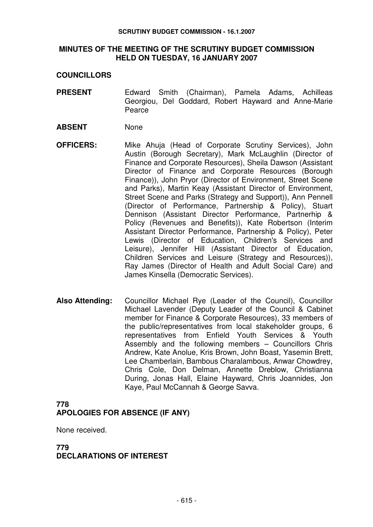#### **MINUTES OF THE MEETING OF THE SCRUTINY BUDGET COMMISSION HELD ON TUESDAY, 16 JANUARY 2007**

#### **COUNCILLORS**

- **PRESENT** Edward Smith (Chairman), Pamela Adams, Achilleas Georgiou, Del Goddard, Robert Hayward and Anne-Marie Pearce
- **ABSENT** None
- **OFFICERS:** Mike Ahuja (Head of Corporate Scrutiny Services), John Austin (Borough Secretary), Mark McLaughlin (Director of Finance and Corporate Resources), Sheila Dawson (Assistant Director of Finance and Corporate Resources (Borough Finance)), John Pryor (Director of Environment, Street Scene and Parks), Martin Keay (Assistant Director of Environment, Street Scene and Parks (Strategy and Support)), Ann Pennell (Director of Performance, Partnership & Policy), Stuart Dennison (Assistant Director Performance, Partnerhip & Policy (Revenues and Benefits)), Kate Robertson (Interim Assistant Director Performance, Partnership & Policy), Peter Lewis (Director of Education, Children's Services and Leisure), Jennifer Hill (Assistant Director of Education, Children Services and Leisure (Strategy and Resources)), Ray James (Director of Health and Adult Social Care) and James Kinsella (Democratic Services).
- **Also Attending:** Councillor Michael Rye (Leader of the Council), Councillor Michael Lavender (Deputy Leader of the Council & Cabinet member for Finance & Corporate Resources), 33 members of the public/representatives from local stakeholder groups, 6 representatives from Enfield Youth Services & Youth Assembly and the following members – Councillors Chris Andrew, Kate Anolue, Kris Brown, John Boast, Yasemin Brett, Lee Chamberlain, Bambous Charalambous, Anwar Chowdrey, Chris Cole, Don Delman, Annette Dreblow, Christianna During, Jonas Hall, Elaine Hayward, Chris Joannides, Jon Kaye, Paul McCannah & George Savva.

# **778**

# **APOLOGIES FOR ABSENCE (IF ANY)**

None received.

# **779 DECLARATIONS OF INTEREST**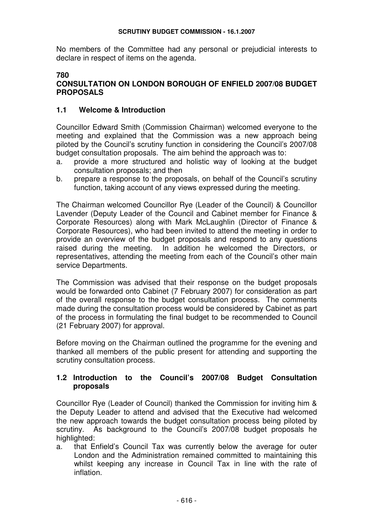No members of the Committee had any personal or prejudicial interests to declare in respect of items on the agenda.

#### **780**

# **CONSULTATION ON LONDON BOROUGH OF ENFIELD 2007/08 BUDGET PROPOSALS**

### **1.1 Welcome & Introduction**

Councillor Edward Smith (Commission Chairman) welcomed everyone to the meeting and explained that the Commission was a new approach being piloted by the Council's scrutiny function in considering the Council's 2007/08 budget consultation proposals. The aim behind the approach was to:

- a. provide a more structured and holistic way of looking at the budget consultation proposals; and then
- b. prepare a response to the proposals, on behalf of the Council's scrutiny function, taking account of any views expressed during the meeting.

The Chairman welcomed Councillor Rye (Leader of the Council) & Councillor Lavender (Deputy Leader of the Council and Cabinet member for Finance & Corporate Resources) along with Mark McLaughlin (Director of Finance & Corporate Resources), who had been invited to attend the meeting in order to provide an overview of the budget proposals and respond to any questions raised during the meeting. In addition he welcomed the Directors, or representatives, attending the meeting from each of the Council's other main service Departments.

The Commission was advised that their response on the budget proposals would be forwarded onto Cabinet (7 February 2007) for consideration as part of the overall response to the budget consultation process. The comments made during the consultation process would be considered by Cabinet as part of the process in formulating the final budget to be recommended to Council (21 February 2007) for approval.

Before moving on the Chairman outlined the programme for the evening and thanked all members of the public present for attending and supporting the scrutiny consultation process.

### **1.2 Introduction to the Council's 2007/08 Budget Consultation proposals**

Councillor Rye (Leader of Council) thanked the Commission for inviting him & the Deputy Leader to attend and advised that the Executive had welcomed the new approach towards the budget consultation process being piloted by scrutiny. As background to the Council's 2007/08 budget proposals he highlighted:

a. that Enfield's Council Tax was currently below the average for outer London and the Administration remained committed to maintaining this whilst keeping any increase in Council Tax in line with the rate of inflation.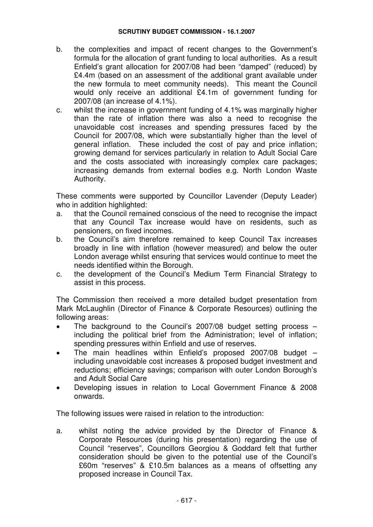- b. the complexities and impact of recent changes to the Government's formula for the allocation of grant funding to local authorities. As a result Enfield's grant allocation for 2007/08 had been "damped" (reduced) by £4.4m (based on an assessment of the additional grant available under the new formula to meet community needs). This meant the Council would only receive an additional £4.1m of government funding for 2007/08 (an increase of 4.1%).
- c. whilst the increase in government funding of 4.1% was marginally higher than the rate of inflation there was also a need to recognise the unavoidable cost increases and spending pressures faced by the Council for 2007/08, which were substantially higher than the level of general inflation. These included the cost of pay and price inflation; growing demand for services particularly in relation to Adult Social Care and the costs associated with increasingly complex care packages; increasing demands from external bodies e.g. North London Waste Authority.

These comments were supported by Councillor Lavender (Deputy Leader) who in addition highlighted:

- a. that the Council remained conscious of the need to recognise the impact that any Council Tax increase would have on residents, such as pensioners, on fixed incomes.
- b. the Council's aim therefore remained to keep Council Tax increases broadly in line with inflation (however measured) and below the outer London average whilst ensuring that services would continue to meet the needs identified within the Borough.
- c. the development of the Council's Medium Term Financial Strategy to assist in this process.

The Commission then received a more detailed budget presentation from Mark McLaughlin (Director of Finance & Corporate Resources) outlining the following areas:

- The background to the Council's  $2007/08$  budget setting process  $$ including the political brief from the Administration; level of inflation; spending pressures within Enfield and use of reserves.
- The main headlines within Enfield's proposed 2007/08 budget including unavoidable cost increases & proposed budget investment and reductions; efficiency savings; comparison with outer London Borough's and Adult Social Care
- Developing issues in relation to Local Government Finance & 2008 onwards.

The following issues were raised in relation to the introduction:

a. whilst noting the advice provided by the Director of Finance & Corporate Resources (during his presentation) regarding the use of Council "reserves", Councillors Georgiou & Goddard felt that further consideration should be given to the potential use of the Council's £60m "reserves" & £10.5m balances as a means of offsetting any proposed increase in Council Tax.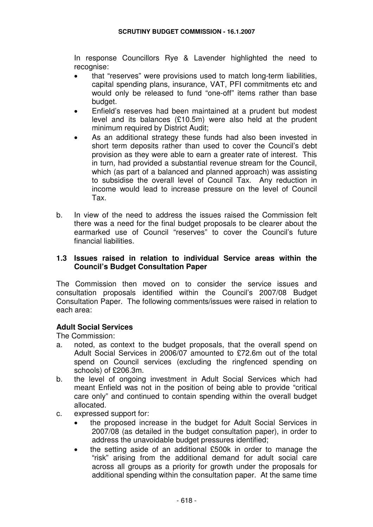In response Councillors Rye & Lavender highlighted the need to recognise:

- that "reserves" were provisions used to match long-term liabilities, capital spending plans, insurance, VAT, PFI commitments etc and would only be released to fund "one-off" items rather than base budget.
- Enfield's reserves had been maintained at a prudent but modest level and its balances (£10.5m) were also held at the prudent minimum required by District Audit:
- As an additional strategy these funds had also been invested in short term deposits rather than used to cover the Council's debt provision as they were able to earn a greater rate of interest. This in turn, had provided a substantial revenue stream for the Council, which (as part of a balanced and planned approach) was assisting to subsidise the overall level of Council Tax. Any reduction in income would lead to increase pressure on the level of Council Tax.
- b. In view of the need to address the issues raised the Commission felt there was a need for the final budget proposals to be clearer about the earmarked use of Council "reserves" to cover the Council's future financial liabilities.

#### **1.3 Issues raised in relation to individual Service areas within the Council's Budget Consultation Paper**

The Commission then moved on to consider the service issues and consultation proposals identified within the Council's 2007/08 Budget Consultation Paper. The following comments/issues were raised in relation to each area:

# **Adult Social Services**

The Commission:

- a. noted, as context to the budget proposals, that the overall spend on Adult Social Services in 2006/07 amounted to £72.6m out of the total spend on Council services (excluding the ringfenced spending on schools) of £206.3m.
- b. the level of ongoing investment in Adult Social Services which had meant Enfield was not in the position of being able to provide "critical care only" and continued to contain spending within the overall budget allocated.
- c. expressed support for:
	- the proposed increase in the budget for Adult Social Services in 2007/08 (as detailed in the budget consultation paper), in order to address the unavoidable budget pressures identified;
	- the setting aside of an additional £500k in order to manage the "risk" arising from the additional demand for adult social care across all groups as a priority for growth under the proposals for additional spending within the consultation paper. At the same time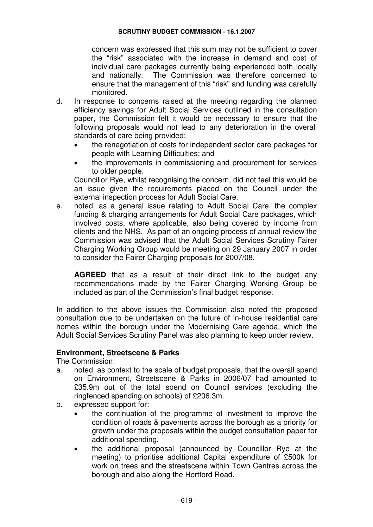concern was expressed that this sum may not be sufficient to cover the "risk" associated with the increase in demand and cost of individual care packages currently being experienced both locally and nationally. The Commission was therefore concerned to ensure that the management of this "risk" and funding was carefully monitored.

- d. In response to concerns raised at the meeting regarding the planned efficiency savings for Adult Social Services outlined in the consultation paper, the Commission felt it would be necessary to ensure that the following proposals would not lead to any deterioration in the overall standards of care being provided:
	- the renegotiation of costs for independent sector care packages for people with Learning Difficulties; and
	- the improvements in commissioning and procurement for services to older people.

Councillor Rye, whilst recognising the concern, did not feel this would be an issue given the requirements placed on the Council under the external inspection process for Adult Social Care.

e. noted, as a general issue relating to Adult Social Care, the complex funding & charging arrangements for Adult Social Care packages, which involved costs, where applicable, also being covered by income from clients and the NHS. As part of an ongoing process of annual review the Commission was advised that the Adult Social Services Scrutiny Fairer Charging Working Group would be meeting on 29 January 2007 in order to consider the Fairer Charging proposals for 2007/08.

**AGREED** that as a result of their direct link to the budget any recommendations made by the Fairer Charging Working Group be included as part of the Commission's final budget response.

In addition to the above issues the Commission also noted the proposed consultation due to be undertaken on the future of in-house residential care homes within the borough under the Modernising Care agenda, which the Adult Social Services Scrutiny Panel was also planning to keep under review.

#### **Environment, Streetscene & Parks**

The Commission:

- a. noted, as context to the scale of budget proposals, that the overall spend on Environment, Streetscene & Parks in 2006/07 had amounted to £35.9m out of the total spend on Council services (excluding the ringfenced spending on schools) of £206.3m.
- b. expressed support for:
	- the continuation of the programme of investment to improve the condition of roads & pavements across the borough as a priority for growth under the proposals within the budget consultation paper for additional spending.
	- the additional proposal (announced by Councillor Rye at the meeting) to prioritise additional Capital expenditure of £500k for work on trees and the streetscene within Town Centres across the borough and also along the Hertford Road.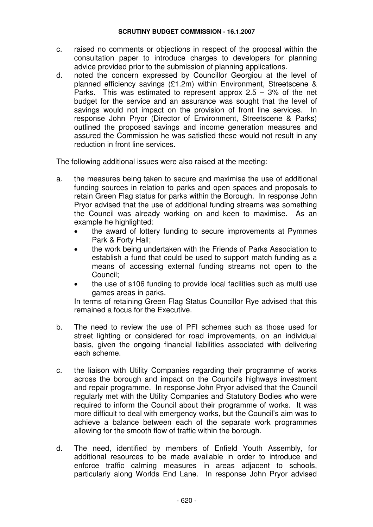- c. raised no comments or objections in respect of the proposal within the consultation paper to introduce charges to developers for planning advice provided prior to the submission of planning applications.
- d. noted the concern expressed by Councillor Georgiou at the level of planned efficiency savings (£1.2m) within Environment, Streetscene & Parks. This was estimated to represent approx  $2.5 - 3\%$  of the net budget for the service and an assurance was sought that the level of savings would not impact on the provision of front line services. In response John Pryor (Director of Environment, Streetscene & Parks) outlined the proposed savings and income generation measures and assured the Commission he was satisfied these would not result in any reduction in front line services.

The following additional issues were also raised at the meeting:

- a. the measures being taken to secure and maximise the use of additional funding sources in relation to parks and open spaces and proposals to retain Green Flag status for parks within the Borough. In response John Pryor advised that the use of additional funding streams was something the Council was already working on and keen to maximise. As an example he highlighted:
	- the award of lottery funding to secure improvements at Pymmes Park & Forty Hall;
	- the work being undertaken with the Friends of Parks Association to establish a fund that could be used to support match funding as a means of accessing external funding streams not open to the Council;
	- the use of s106 funding to provide local facilities such as multi use games areas in parks.

In terms of retaining Green Flag Status Councillor Rye advised that this remained a focus for the Executive.

- b. The need to review the use of PFI schemes such as those used for street lighting or considered for road improvements, on an individual basis, given the ongoing financial liabilities associated with delivering each scheme.
- c. the liaison with Utility Companies regarding their programme of works across the borough and impact on the Council's highways investment and repair programme. In response John Pryor advised that the Council regularly met with the Utility Companies and Statutory Bodies who were required to inform the Council about their programme of works. It was more difficult to deal with emergency works, but the Council's aim was to achieve a balance between each of the separate work programmes allowing for the smooth flow of traffic within the borough.
- d. The need, identified by members of Enfield Youth Assembly, for additional resources to be made available in order to introduce and enforce traffic calming measures in areas adjacent to schools, particularly along Worlds End Lane. In response John Pryor advised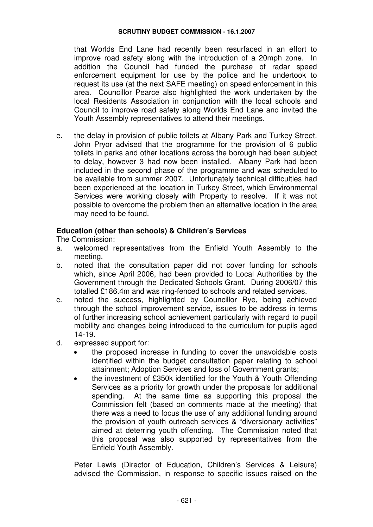that Worlds End Lane had recently been resurfaced in an effort to improve road safety along with the introduction of a 20mph zone. In addition the Council had funded the purchase of radar speed enforcement equipment for use by the police and he undertook to request its use (at the next SAFE meeting) on speed enforcement in this area. Councillor Pearce also highlighted the work undertaken by the local Residents Association in conjunction with the local schools and Council to improve road safety along Worlds End Lane and invited the Youth Assembly representatives to attend their meetings.

e. the delay in provision of public toilets at Albany Park and Turkey Street. John Pryor advised that the programme for the provision of 6 public toilets in parks and other locations across the borough had been subject to delay, however 3 had now been installed. Albany Park had been included in the second phase of the programme and was scheduled to be available from summer 2007. Unfortunately technical difficulties had been experienced at the location in Turkey Street, which Environmental Services were working closely with Property to resolve. If it was not possible to overcome the problem then an alternative location in the area may need to be found.

### **Education (other than schools) & Children's Services**

The Commission:

- a. welcomed representatives from the Enfield Youth Assembly to the meeting.
- b. noted that the consultation paper did not cover funding for schools which, since April 2006, had been provided to Local Authorities by the Government through the Dedicated Schools Grant. During 2006/07 this totalled £186.4m and was ring-fenced to schools and related services.
- c. noted the success, highlighted by Councillor Rye, being achieved through the school improvement service, issues to be address in terms of further increasing school achievement particularly with regard to pupil mobility and changes being introduced to the curriculum for pupils aged 14-19.
- d. expressed support for:
	- the proposed increase in funding to cover the unavoidable costs identified within the budget consultation paper relating to school attainment; Adoption Services and loss of Government grants;
	- the investment of £350k identified for the Youth & Youth Offending Services as a priority for growth under the proposals for additional spending. At the same time as supporting this proposal the Commission felt (based on comments made at the meeting) that there was a need to focus the use of any additional funding around the provision of youth outreach services & "diversionary activities" aimed at deterring youth offending. The Commission noted that this proposal was also supported by representatives from the Enfield Youth Assembly.

Peter Lewis (Director of Education, Children's Services & Leisure) advised the Commission, in response to specific issues raised on the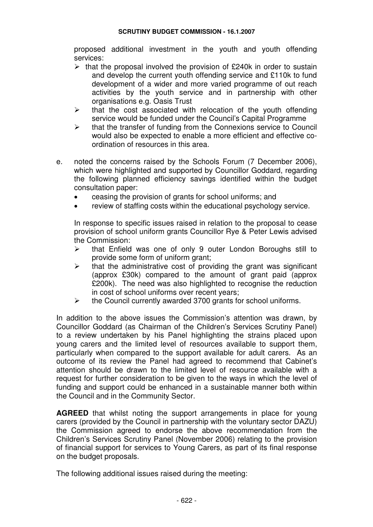proposed additional investment in the youth and youth offending services:

- $\triangleright$  that the proposal involved the provision of £240k in order to sustain and develop the current youth offending service and £110k to fund development of a wider and more varied programme of out reach activities by the youth service and in partnership with other organisations e.g. Oasis Trust
- $\triangleright$  that the cost associated with relocation of the youth offending service would be funded under the Council's Capital Programme
- $\triangleright$  that the transfer of funding from the Connexions service to Council would also be expected to enable a more efficient and effective coordination of resources in this area.
- e. noted the concerns raised by the Schools Forum (7 December 2006), which were highlighted and supported by Councillor Goddard, regarding the following planned efficiency savings identified within the budget consultation paper:
	- ceasing the provision of grants for school uniforms; and
	- review of staffing costs within the educational psychology service.

In response to specific issues raised in relation to the proposal to cease provision of school uniform grants Councillor Rye & Peter Lewis advised the Commission:

- $\triangleright$  that Enfield was one of only 9 outer London Boroughs still to provide some form of uniform grant;
- $\triangleright$  that the administrative cost of providing the grant was significant (approx £30k) compared to the amount of grant paid (approx £200k). The need was also highlighted to recognise the reduction in cost of school uniforms over recent years;
- $\triangleright$  the Council currently awarded 3700 grants for school uniforms.

In addition to the above issues the Commission's attention was drawn, by Councillor Goddard (as Chairman of the Children's Services Scrutiny Panel) to a review undertaken by his Panel highlighting the strains placed upon young carers and the limited level of resources available to support them, particularly when compared to the support available for adult carers. As an outcome of its review the Panel had agreed to recommend that Cabinet's attention should be drawn to the limited level of resource available with a request for further consideration to be given to the ways in which the level of funding and support could be enhanced in a sustainable manner both within the Council and in the Community Sector.

**AGREED** that whilst noting the support arrangements in place for young carers (provided by the Council in partnership with the voluntary sector DAZU) the Commission agreed to endorse the above recommendation from the Children's Services Scrutiny Panel (November 2006) relating to the provision of financial support for services to Young Carers, as part of its final response on the budget proposals.

The following additional issues raised during the meeting: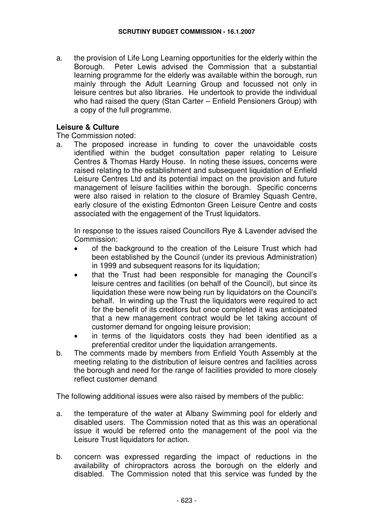a. the provision of Life Long Learning opportunities for the elderly within the Borough. Peter Lewis advised the Commission that a substantial learning programme for the elderly was available within the borough, run mainly through the Adult Learning Group and focussed not only in leisure centres but also libraries. He undertook to provide the individual who had raised the query (Stan Carter – Enfield Pensioners Group) with a copy of the full programme.

#### **Leisure & Culture**

The Commission noted:

a. The proposed increase in funding to cover the unavoidable costs identified within the budget consultation paper relating to Leisure Centres & Thomas Hardy House. In noting these issues, concerns were raised relating to the establishment and subsequent liquidation of Enfield Leisure Centres Ltd and its potential impact on the provision and future management of leisure facilities within the borough. Specific concerns were also raised in relation to the closure of Bramley Squash Centre, early closure of the existing Edmonton Green Leisure Centre and costs associated with the engagement of the Trust liquidators.

In response to the issues raised Councillors Rye & Lavender advised the Commission:

- of the background to the creation of the Leisure Trust which had been established by the Council (under its previous Administration) in 1999 and subsequent reasons for its liquidation;
- that the Trust had been responsible for managing the Council's leisure centres and facilities (on behalf of the Council), but since its liquidation these were now being run by liquidators on the Council's behalf. In winding up the Trust the liquidators were required to act for the benefit of its creditors but once completed it was anticipated that a new management contract would be let taking account of customer demand for ongoing leisure provision;
- in terms of the liquidators costs they had been identified as a preferential creditor under the liquidation arrangements.
- b. The comments made by members from Enfield Youth Assembly at the meeting relating to the distribution of leisure centres and facilities across the borough and need for the range of facilities provided to more closely reflect customer demand

The following additional issues were also raised by members of the public:

- a. the temperature of the water at Albany Swimming pool for elderly and disabled users. The Commission noted that as this was an operational issue it would be referred onto the management of the pool via the Leisure Trust liquidators for action.
- b. concern was expressed regarding the impact of reductions in the availability of chiropractors across the borough on the elderly and disabled. The Commission noted that this service was funded by the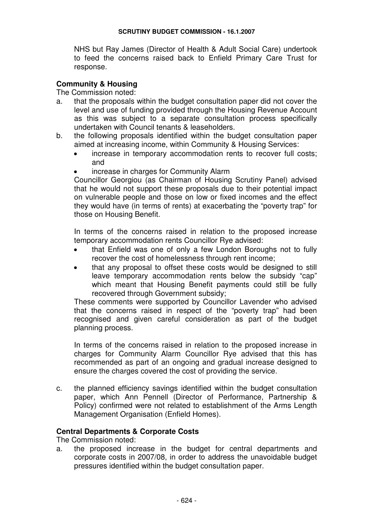NHS but Ray James (Director of Health & Adult Social Care) undertook to feed the concerns raised back to Enfield Primary Care Trust for response.

### **Community & Housing**

The Commission noted:

- a. that the proposals within the budget consultation paper did not cover the level and use of funding provided through the Housing Revenue Account as this was subject to a separate consultation process specifically undertaken with Council tenants & leaseholders.
- b. the following proposals identified within the budget consultation paper aimed at increasing income, within Community & Housing Services:
	- increase in temporary accommodation rents to recover full costs; and
	- increase in charges for Community Alarm

Councillor Georgiou (as Chairman of Housing Scrutiny Panel) advised that he would not support these proposals due to their potential impact on vulnerable people and those on low or fixed incomes and the effect they would have (in terms of rents) at exacerbating the "poverty trap" for those on Housing Benefit.

In terms of the concerns raised in relation to the proposed increase temporary accommodation rents Councillor Rye advised:

- that Enfield was one of only a few London Boroughs not to fully recover the cost of homelessness through rent income;
- that any proposal to offset these costs would be designed to still leave temporary accommodation rents below the subsidy "cap" which meant that Housing Benefit payments could still be fully recovered through Government subsidy;

These comments were supported by Councillor Lavender who advised that the concerns raised in respect of the "poverty trap" had been recognised and given careful consideration as part of the budget planning process.

In terms of the concerns raised in relation to the proposed increase in charges for Community Alarm Councillor Rye advised that this has recommended as part of an ongoing and gradual increase designed to ensure the charges covered the cost of providing the service.

c. the planned efficiency savings identified within the budget consultation paper, which Ann Pennell (Director of Performance, Partnership & Policy) confirmed were not related to establishment of the Arms Length Management Organisation (Enfield Homes).

#### **Central Departments & Corporate Costs**

The Commission noted:

a. the proposed increase in the budget for central departments and corporate costs in 2007/08, in order to address the unavoidable budget pressures identified within the budget consultation paper.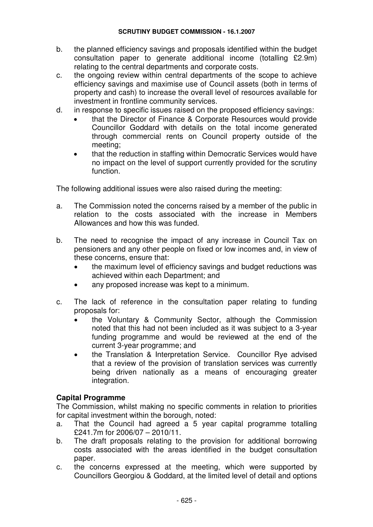- b. the planned efficiency savings and proposals identified within the budget consultation paper to generate additional income (totalling £2.9m) relating to the central departments and corporate costs.
- c. the ongoing review within central departments of the scope to achieve efficiency savings and maximise use of Council assets (both in terms of property and cash) to increase the overall level of resources available for investment in frontline community services.
- d. in response to specific issues raised on the proposed efficiency savings:
	- that the Director of Finance & Corporate Resources would provide Councillor Goddard with details on the total income generated through commercial rents on Council property outside of the meeting;
	- that the reduction in staffing within Democratic Services would have no impact on the level of support currently provided for the scrutiny function.

The following additional issues were also raised during the meeting:

- a. The Commission noted the concerns raised by a member of the public in relation to the costs associated with the increase in Members Allowances and how this was funded.
- b. The need to recognise the impact of any increase in Council Tax on pensioners and any other people on fixed or low incomes and, in view of these concerns, ensure that:
	- the maximum level of efficiency savings and budget reductions was achieved within each Department; and
	- any proposed increase was kept to a minimum.
- c. The lack of reference in the consultation paper relating to funding proposals for:
	- the Voluntary & Community Sector, although the Commission noted that this had not been included as it was subject to a 3-year funding programme and would be reviewed at the end of the current 3-year programme; and
	- the Translation & Interpretation Service. Councillor Rye advised that a review of the provision of translation services was currently being driven nationally as a means of encouraging greater integration.

# **Capital Programme**

The Commission, whilst making no specific comments in relation to priorities for capital investment within the borough, noted:

- a. That the Council had agreed a 5 year capital programme totalling £241.7m for 2006/07 – 2010/11.
- b. The draft proposals relating to the provision for additional borrowing costs associated with the areas identified in the budget consultation paper.
- c. the concerns expressed at the meeting, which were supported by Councillors Georgiou & Goddard, at the limited level of detail and options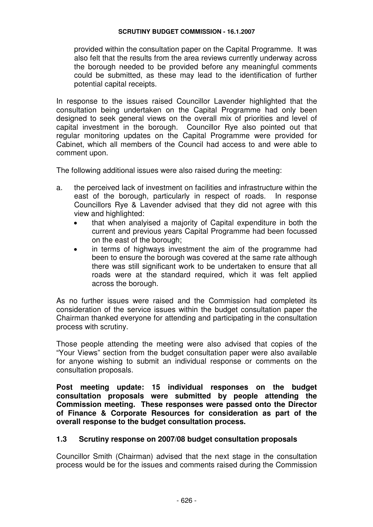provided within the consultation paper on the Capital Programme. It was also felt that the results from the area reviews currently underway across the borough needed to be provided before any meaningful comments could be submitted, as these may lead to the identification of further potential capital receipts.

In response to the issues raised Councillor Lavender highlighted that the consultation being undertaken on the Capital Programme had only been designed to seek general views on the overall mix of priorities and level of capital investment in the borough. Councillor Rye also pointed out that regular monitoring updates on the Capital Programme were provided for Cabinet, which all members of the Council had access to and were able to comment upon.

The following additional issues were also raised during the meeting:

- a. the perceived lack of investment on facilities and infrastructure within the east of the borough, particularly in respect of roads. In response Councillors Rye & Lavender advised that they did not agree with this view and highlighted:
	- that when analyised a majority of Capital expenditure in both the current and previous years Capital Programme had been focussed on the east of the borough;
	- in terms of highways investment the aim of the programme had been to ensure the borough was covered at the same rate although there was still significant work to be undertaken to ensure that all roads were at the standard required, which it was felt applied across the borough.

As no further issues were raised and the Commission had completed its consideration of the service issues within the budget consultation paper the Chairman thanked everyone for attending and participating in the consultation process with scrutiny.

Those people attending the meeting were also advised that copies of the "Your Views" section from the budget consultation paper were also available for anyone wishing to submit an individual response or comments on the consultation proposals.

**Post meeting update: 15 individual responses on the budget consultation proposals were submitted by people attending the Commission meeting. These responses were passed onto the Director of Finance & Corporate Resources for consideration as part of the overall response to the budget consultation process.** 

# **1.3 Scrutiny response on 2007/08 budget consultation proposals**

Councillor Smith (Chairman) advised that the next stage in the consultation process would be for the issues and comments raised during the Commission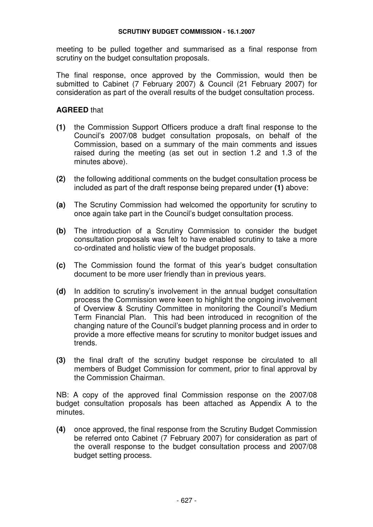meeting to be pulled together and summarised as a final response from scrutiny on the budget consultation proposals.

The final response, once approved by the Commission, would then be submitted to Cabinet (7 February 2007) & Council (21 February 2007) for consideration as part of the overall results of the budget consultation process.

### **AGREED** that

- **(1)** the Commission Support Officers produce a draft final response to the Council's 2007/08 budget consultation proposals, on behalf of the Commission, based on a summary of the main comments and issues raised during the meeting (as set out in section 1.2 and 1.3 of the minutes above).
- **(2)** the following additional comments on the budget consultation process be included as part of the draft response being prepared under **(1)** above:
- **(a)** The Scrutiny Commission had welcomed the opportunity for scrutiny to once again take part in the Council's budget consultation process.
- **(b)** The introduction of a Scrutiny Commission to consider the budget consultation proposals was felt to have enabled scrutiny to take a more co-ordinated and holistic view of the budget proposals.
- **(c)** The Commission found the format of this year's budget consultation document to be more user friendly than in previous years.
- **(d)** In addition to scrutiny's involvement in the annual budget consultation process the Commission were keen to highlight the ongoing involvement of Overview & Scrutiny Committee in monitoring the Council's Medium Term Financial Plan. This had been introduced in recognition of the changing nature of the Council's budget planning process and in order to provide a more effective means for scrutiny to monitor budget issues and trends.
- **(3)** the final draft of the scrutiny budget response be circulated to all members of Budget Commission for comment, prior to final approval by the Commission Chairman.

NB: A copy of the approved final Commission response on the 2007/08 budget consultation proposals has been attached as Appendix A to the minutes.

**(4)** once approved, the final response from the Scrutiny Budget Commission be referred onto Cabinet (7 February 2007) for consideration as part of the overall response to the budget consultation process and 2007/08 budget setting process.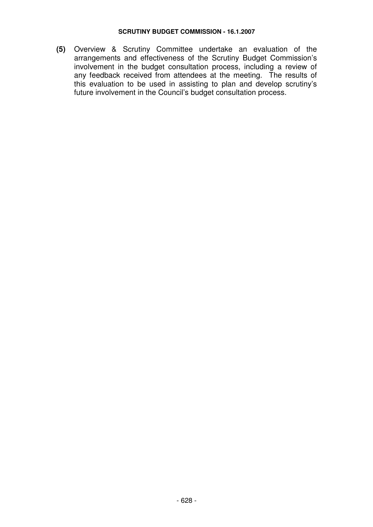**(5)** Overview & Scrutiny Committee undertake an evaluation of the arrangements and effectiveness of the Scrutiny Budget Commission's involvement in the budget consultation process, including a review of any feedback received from attendees at the meeting. The results of this evaluation to be used in assisting to plan and develop scrutiny's future involvement in the Council's budget consultation process.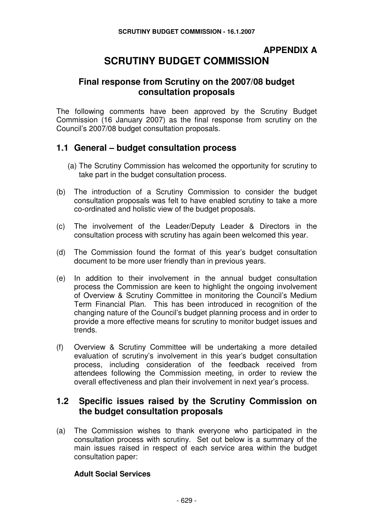# **APPENDIX A SCRUTINY BUDGET COMMISSION**

# **Final response from Scrutiny on the 2007/08 budget consultation proposals**

The following comments have been approved by the Scrutiny Budget Commission (16 January 2007) as the final response from scrutiny on the Council's 2007/08 budget consultation proposals.

# **1.1 General – budget consultation process**

- (a) The Scrutiny Commission has welcomed the opportunity for scrutiny to take part in the budget consultation process.
- (b) The introduction of a Scrutiny Commission to consider the budget consultation proposals was felt to have enabled scrutiny to take a more co-ordinated and holistic view of the budget proposals.
- (c) The involvement of the Leader/Deputy Leader & Directors in the consultation process with scrutiny has again been welcomed this year.
- (d) The Commission found the format of this year's budget consultation document to be more user friendly than in previous years.
- (e) In addition to their involvement in the annual budget consultation process the Commission are keen to highlight the ongoing involvement of Overview & Scrutiny Committee in monitoring the Council's Medium Term Financial Plan. This has been introduced in recognition of the changing nature of the Council's budget planning process and in order to provide a more effective means for scrutiny to monitor budget issues and trends.
- (f) Overview & Scrutiny Committee will be undertaking a more detailed evaluation of scrutiny's involvement in this year's budget consultation process, including consideration of the feedback received from attendees following the Commission meeting, in order to review the overall effectiveness and plan their involvement in next year's process.

# **1.2 Specific issues raised by the Scrutiny Commission on the budget consultation proposals**

(a) The Commission wishes to thank everyone who participated in the consultation process with scrutiny. Set out below is a summary of the main issues raised in respect of each service area within the budget consultation paper:

# **Adult Social Services**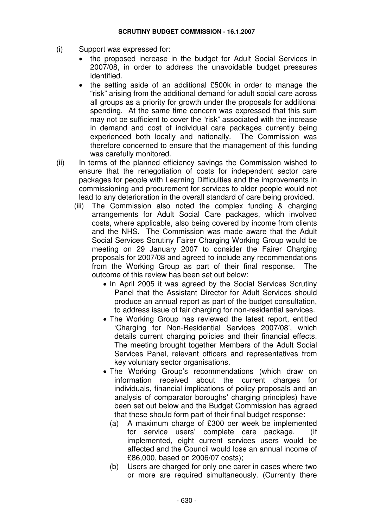- (i) Support was expressed for:
	- the proposed increase in the budget for Adult Social Services in 2007/08, in order to address the unavoidable budget pressures identified.
	- the setting aside of an additional £500k in order to manage the "risk" arising from the additional demand for adult social care across all groups as a priority for growth under the proposals for additional spending. At the same time concern was expressed that this sum may not be sufficient to cover the "risk" associated with the increase in demand and cost of individual care packages currently being experienced both locally and nationally. The Commission was therefore concerned to ensure that the management of this funding was carefully monitored.
- (ii) In terms of the planned efficiency savings the Commission wished to ensure that the renegotiation of costs for independent sector care packages for people with Learning Difficulties and the improvements in commissioning and procurement for services to older people would not lead to any deterioration in the overall standard of care being provided.
	- (iii) The Commission also noted the complex funding & charging arrangements for Adult Social Care packages, which involved costs, where applicable, also being covered by income from clients and the NHS. The Commission was made aware that the Adult Social Services Scrutiny Fairer Charging Working Group would be meeting on 29 January 2007 to consider the Fairer Charging proposals for 2007/08 and agreed to include any recommendations from the Working Group as part of their final response. The outcome of this review has been set out below:
		- In April 2005 it was agreed by the Social Services Scrutiny Panel that the Assistant Director for Adult Services should produce an annual report as part of the budget consultation, to address issue of fair charging for non-residential services.
		- The Working Group has reviewed the latest report, entitled 'Charging for Non-Residential Services 2007/08', which details current charging policies and their financial effects. The meeting brought together Members of the Adult Social Services Panel, relevant officers and representatives from key voluntary sector organisations.
		- The Working Group's recommendations (which draw on information received about the current charges for individuals, financial implications of policy proposals and an analysis of comparator boroughs' charging principles) have been set out below and the Budget Commission has agreed that these should form part of their final budget response:
			- (a) A maximum charge of £300 per week be implemented for service users' complete care package. (If implemented, eight current services users would be affected and the Council would lose an annual income of £86,000, based on 2006/07 costs);
			- (b) Users are charged for only one carer in cases where two or more are required simultaneously. (Currently there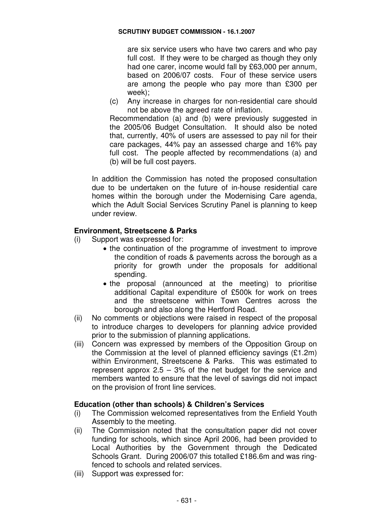are six service users who have two carers and who pay full cost. If they were to be charged as though they only had one carer, income would fall by £63,000 per annum, based on 2006/07 costs. Four of these service users are among the people who pay more than £300 per week);

(c) Any increase in charges for non-residential care should not be above the agreed rate of inflation.

Recommendation (a) and (b) were previously suggested in the 2005/06 Budget Consultation. It should also be noted that, currently, 40% of users are assessed to pay nil for their care packages, 44% pay an assessed charge and 16% pay full cost. The people affected by recommendations (a) and (b) will be full cost payers.

In addition the Commission has noted the proposed consultation due to be undertaken on the future of in-house residential care homes within the borough under the Modernising Care agenda, which the Adult Social Services Scrutiny Panel is planning to keep under review.

### **Environment, Streetscene & Parks**

- (i) Support was expressed for:
	- the continuation of the programme of investment to improve the condition of roads & pavements across the borough as a priority for growth under the proposals for additional spending.
	- the proposal (announced at the meeting) to prioritise additional Capital expenditure of £500k for work on trees and the streetscene within Town Centres across the borough and also along the Hertford Road.
- (ii) No comments or objections were raised in respect of the proposal to introduce charges to developers for planning advice provided prior to the submission of planning applications.
- (iii) Concern was expressed by members of the Opposition Group on the Commission at the level of planned efficiency savings (£1.2m) within Environment, Streetscene & Parks. This was estimated to represent approx  $2.5 - 3\%$  of the net budget for the service and members wanted to ensure that the level of savings did not impact on the provision of front line services.

#### **Education (other than schools) & Children's Services**

- (i) The Commission welcomed representatives from the Enfield Youth Assembly to the meeting.
- (ii) The Commission noted that the consultation paper did not cover funding for schools, which since April 2006, had been provided to Local Authorities by the Government through the Dedicated Schools Grant. During 2006/07 this totalled £186.6m and was ringfenced to schools and related services.
- (iii) Support was expressed for: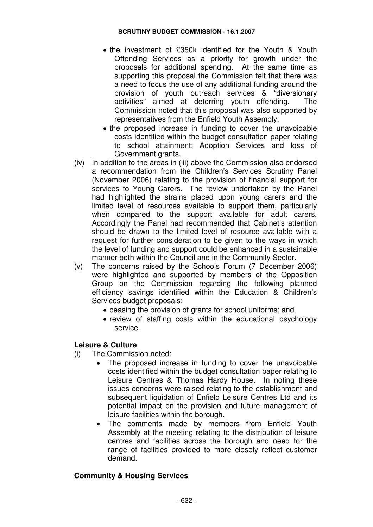- the investment of £350k identified for the Youth & Youth Offending Services as a priority for growth under the proposals for additional spending. At the same time as supporting this proposal the Commission felt that there was a need to focus the use of any additional funding around the provision of youth outreach services & "diversionary activities" aimed at deterring youth offending. The Commission noted that this proposal was also supported by representatives from the Enfield Youth Assembly.
- the proposed increase in funding to cover the unavoidable costs identified within the budget consultation paper relating to school attainment; Adoption Services and loss of Government grants.
- (iv) In addition to the areas in (iii) above the Commission also endorsed a recommendation from the Children's Services Scrutiny Panel (November 2006) relating to the provision of financial support for services to Young Carers. The review undertaken by the Panel had highlighted the strains placed upon young carers and the limited level of resources available to support them, particularly when compared to the support available for adult carers. Accordingly the Panel had recommended that Cabinet's attention should be drawn to the limited level of resource available with a request for further consideration to be given to the ways in which the level of funding and support could be enhanced in a sustainable manner both within the Council and in the Community Sector.
- (v) The concerns raised by the Schools Forum (7 December 2006) were highlighted and supported by members of the Opposition Group on the Commission regarding the following planned efficiency savings identified within the Education & Children's Services budget proposals:
	- ceasing the provision of grants for school uniforms; and
	- review of staffing costs within the educational psychology service.

# **Leisure & Culture**

- (i) The Commission noted:
	- The proposed increase in funding to cover the unavoidable costs identified within the budget consultation paper relating to Leisure Centres & Thomas Hardy House. In noting these issues concerns were raised relating to the establishment and subsequent liquidation of Enfield Leisure Centres Ltd and its potential impact on the provision and future management of leisure facilities within the borough.
	- The comments made by members from Enfield Youth Assembly at the meeting relating to the distribution of leisure centres and facilities across the borough and need for the range of facilities provided to more closely reflect customer demand.

# **Community & Housing Services**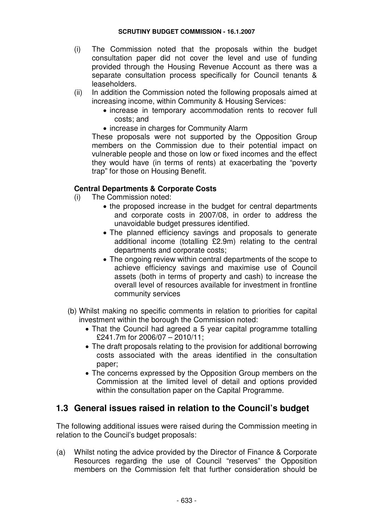- (i) The Commission noted that the proposals within the budget consultation paper did not cover the level and use of funding provided through the Housing Revenue Account as there was a separate consultation process specifically for Council tenants & leaseholders.
- (ii) In addition the Commission noted the following proposals aimed at increasing income, within Community & Housing Services:
	- increase in temporary accommodation rents to recover full costs; and
	- increase in charges for Community Alarm

These proposals were not supported by the Opposition Group members on the Commission due to their potential impact on vulnerable people and those on low or fixed incomes and the effect they would have (in terms of rents) at exacerbating the "poverty trap" for those on Housing Benefit.

# **Central Departments & Corporate Costs**

- (i) The Commission noted:
	- the proposed increase in the budget for central departments and corporate costs in 2007/08, in order to address the unavoidable budget pressures identified.
	- The planned efficiency savings and proposals to generate additional income (totalling £2.9m) relating to the central departments and corporate costs;
	- The ongoing review within central departments of the scope to achieve efficiency savings and maximise use of Council assets (both in terms of property and cash) to increase the overall level of resources available for investment in frontline community services
- (b) Whilst making no specific comments in relation to priorities for capital investment within the borough the Commission noted:
	- That the Council had agreed a 5 year capital programme totalling £241.7m for 2006/07 – 2010/11;
	- The draft proposals relating to the provision for additional borrowing costs associated with the areas identified in the consultation paper;
	- The concerns expressed by the Opposition Group members on the Commission at the limited level of detail and options provided within the consultation paper on the Capital Programme.

# **1.3 General issues raised in relation to the Council's budget**

The following additional issues were raised during the Commission meeting in relation to the Council's budget proposals:

(a) Whilst noting the advice provided by the Director of Finance & Corporate Resources regarding the use of Council "reserves" the Opposition members on the Commission felt that further consideration should be